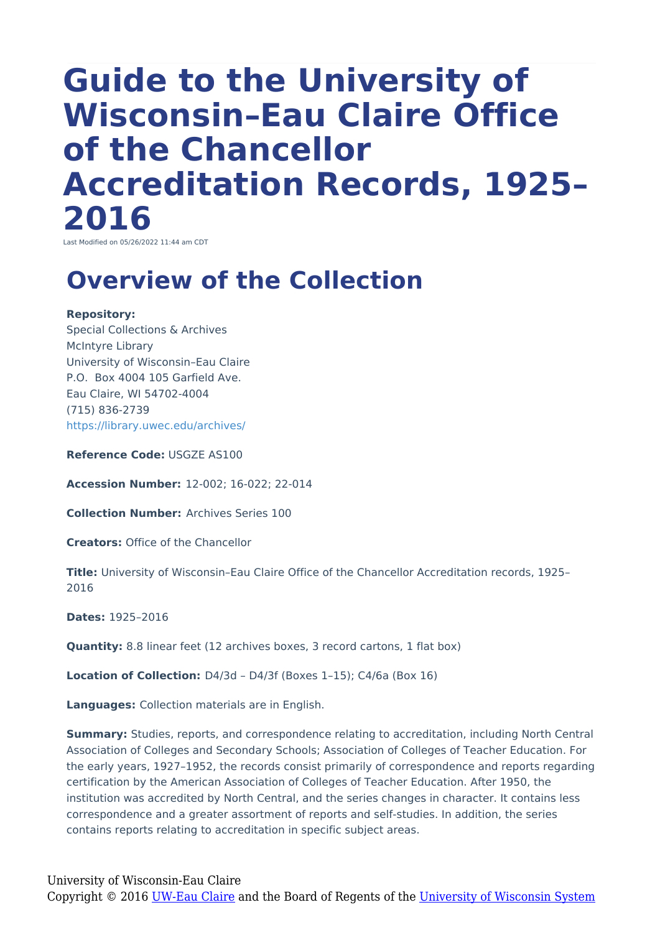# **Guide to the University of Wisconsin–Eau Claire Office of the Chancellor Accreditation Records, 1925– 2016**

Last Modified on 05/26/2022 11:44 am CDT

### **Overview of the Collection**

#### **Repository:**

Special Collections & Archives McIntyre Library University of Wisconsin–Eau Claire P.O. Box 4004 105 Garfield Ave. Eau Claire, WI 54702-4004 (715) 836-2739 <https://library.uwec.edu/archives/>

**Reference Code:** USGZE AS100

**Accession Number:** 12-002; 16-022; 22-014

**Collection Number:** Archives Series 100

**Creators:** Office of the Chancellor

**Title:** University of Wisconsin–Eau Claire Office of the Chancellor Accreditation records, 1925– 2016

**Dates:** 1925–2016

**Quantity:** 8.8 linear feet (12 archives boxes, 3 record cartons, 1 flat box)

**Location of Collection:** D4/3d – D4/3f (Boxes 1–15); C4/6a (Box 16)

**Languages:** Collection materials are in English.

**Summary:** Studies, reports, and correspondence relating to accreditation, including North Central Association of Colleges and Secondary Schools; Association of Colleges of Teacher Education. For the early years, 1927–1952, the records consist primarily of correspondence and reports regarding certification by the American Association of Colleges of Teacher Education. After 1950, the institution was accredited by North Central, and the series changes in character. It contains less correspondence and a greater assortment of reports and self-studies. In addition, the series contains reports relating to accreditation in specific subject areas.

University of Wisconsin-Eau Claire Copyright © 2016 [UW-Eau Claire](http://www.uwec.edu) and the Board of Regents of the [University of Wisconsin System](http://www.uwsa.edu/)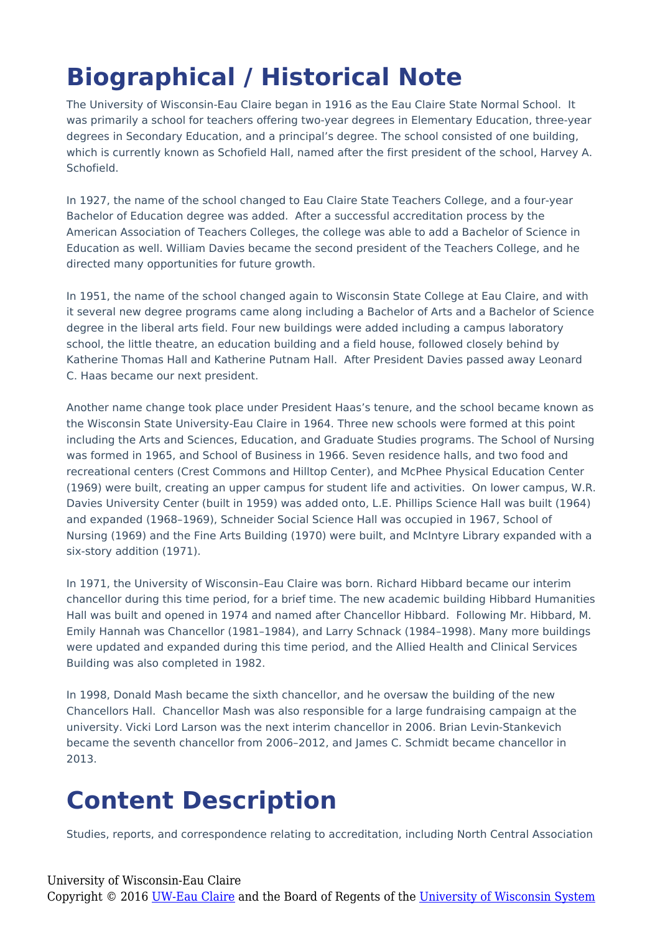## **Biographical / Historical Note**

The University of Wisconsin-Eau Claire began in 1916 as the Eau Claire State Normal School. It was primarily a school for teachers offering two-year degrees in Elementary Education, three-year degrees in Secondary Education, and a principal's degree. The school consisted of one building, which is currently known as Schofield Hall, named after the first president of the school, Harvey A. **Schofield** 

In 1927, the name of the school changed to Eau Claire State Teachers College, and a four-year Bachelor of Education degree was added. After a successful accreditation process by the American Association of Teachers Colleges, the college was able to add a Bachelor of Science in Education as well. William Davies became the second president of the Teachers College, and he directed many opportunities for future growth.

In 1951, the name of the school changed again to Wisconsin State College at Eau Claire, and with it several new degree programs came along including a Bachelor of Arts and a Bachelor of Science degree in the liberal arts field. Four new buildings were added including a campus laboratory school, the little theatre, an education building and a field house, followed closely behind by Katherine Thomas Hall and Katherine Putnam Hall. After President Davies passed away Leonard C. Haas became our next president.

Another name change took place under President Haas's tenure, and the school became known as the Wisconsin State University-Eau Claire in 1964. Three new schools were formed at this point including the Arts and Sciences, Education, and Graduate Studies programs. The School of Nursing was formed in 1965, and School of Business in 1966. Seven residence halls, and two food and recreational centers (Crest Commons and Hilltop Center), and McPhee Physical Education Center (1969) were built, creating an upper campus for student life and activities. On lower campus, W.R. Davies University Center (built in 1959) was added onto, L.E. Phillips Science Hall was built (1964) and expanded (1968–1969), Schneider Social Science Hall was occupied in 1967, School of Nursing (1969) and the Fine Arts Building (1970) were built, and McIntyre Library expanded with a six-story addition (1971).

In 1971, the University of Wisconsin–Eau Claire was born. Richard Hibbard became our interim chancellor during this time period, for a brief time. The new academic building Hibbard Humanities Hall was built and opened in 1974 and named after Chancellor Hibbard. Following Mr. Hibbard, M. Emily Hannah was Chancellor (1981–1984), and Larry Schnack (1984–1998). Many more buildings were updated and expanded during this time period, and the Allied Health and Clinical Services Building was also completed in 1982.

In 1998, Donald Mash became the sixth chancellor, and he oversaw the building of the new Chancellors Hall. Chancellor Mash was also responsible for a large fundraising campaign at the university. Vicki Lord Larson was the next interim chancellor in 2006. Brian Levin-Stankevich became the seventh chancellor from 2006–2012, and James C. Schmidt became chancellor in 2013.

### **Content Description**

Studies, reports, and correspondence relating to accreditation, including North Central Association

#### University of Wisconsin-Eau Claire

Copyright © 2016 [UW-Eau Claire](http://www.uwec.edu) and the Board of Regents of the [University of Wisconsin System](http://www.uwsa.edu/)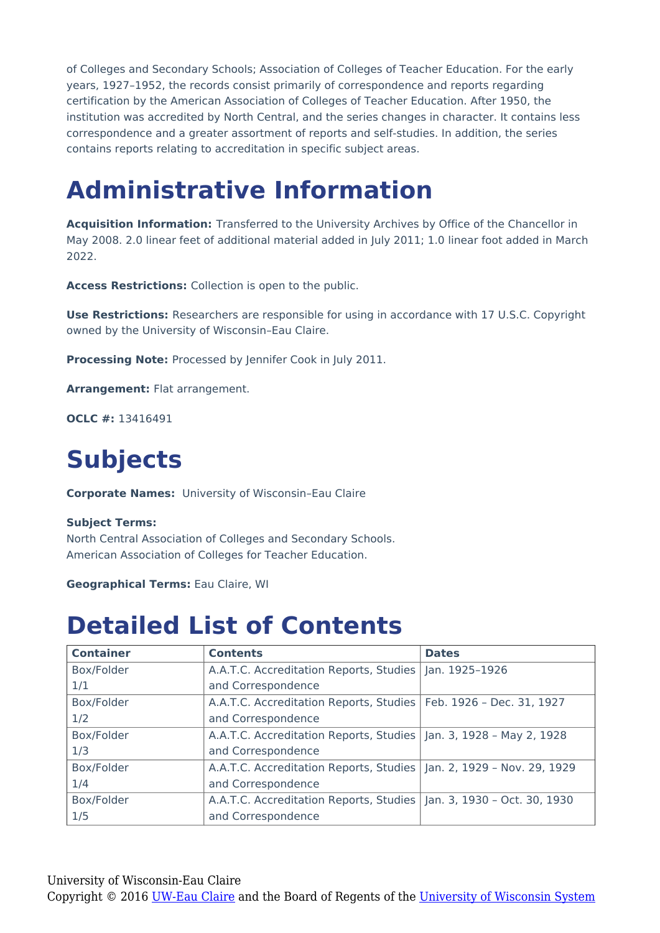of Colleges and Secondary Schools; Association of Colleges of Teacher Education. For the early years, 1927–1952, the records consist primarily of correspondence and reports regarding certification by the American Association of Colleges of Teacher Education. After 1950, the institution was accredited by North Central, and the series changes in character. It contains less correspondence and a greater assortment of reports and self-studies. In addition, the series contains reports relating to accreditation in specific subject areas.

### **Administrative Information**

**Acquisition Information:** Transferred to the University Archives by Office of the Chancellor in May 2008. 2.0 linear feet of additional material added in July 2011; 1.0 linear foot added in March 2022.

**Access Restrictions:** Collection is open to the public.

**Use Restrictions:** Researchers are responsible for using in accordance with 17 U.S.C. Copyright owned by the University of Wisconsin–Eau Claire.

**Processing Note:** Processed by Jennifer Cook in July 2011.

**Arrangement:** Flat arrangement.

**OCLC #:** 13416491

## **Subjects**

**Corporate Names:** University of Wisconsin–Eau Claire

#### **Subject Terms:**

North Central Association of Colleges and Secondary Schools. American Association of Colleges for Teacher Education.

**Geographical Terms:** Eau Claire, WI

### **Detailed List of Contents**

| <b>Container</b> | <b>Contents</b>                                                        | <b>Dates</b> |
|------------------|------------------------------------------------------------------------|--------------|
| Box/Folder       | A.A.T.C. Accreditation Reports, Studies   Jan. 1925-1926               |              |
| 1/1              | and Correspondence                                                     |              |
| Box/Folder       | A.A.T.C. Accreditation Reports, Studies   Feb. 1926 - Dec. 31, 1927    |              |
| 1/2              | and Correspondence                                                     |              |
| Box/Folder       | A.A.T.C. Accreditation Reports, Studies   Jan. 3, 1928 - May 2, 1928   |              |
| 1/3              | and Correspondence                                                     |              |
| Box/Folder       | A.A.T.C. Accreditation Reports, Studies   Jan. 2, 1929 - Nov. 29, 1929 |              |
| 1/4              | and Correspondence                                                     |              |
| Box/Folder       | A.A.T.C. Accreditation Reports, Studies   Jan. 3, 1930 - Oct. 30, 1930 |              |
| 1/5              | and Correspondence                                                     |              |

University of Wisconsin-Eau Claire Copyright © 2016 [UW-Eau Claire](http://www.uwec.edu) and the Board of Regents of the [University of Wisconsin System](http://www.uwsa.edu/)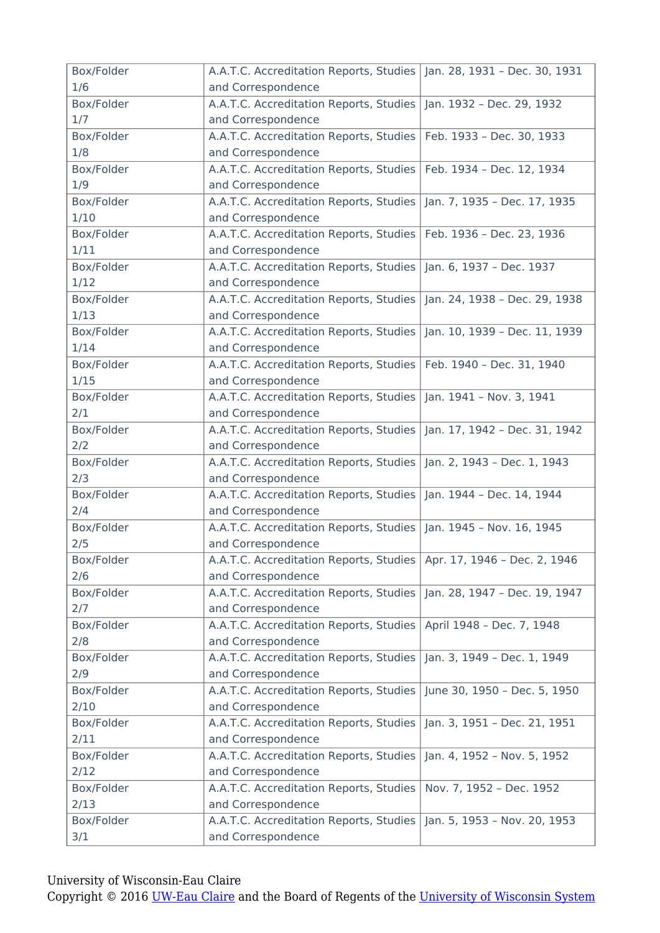| Box/Folder         | A.A.T.C. Accreditation Reports, Studies   Jan. 28, 1931 - Dec. 30, 1931                      |                               |
|--------------------|----------------------------------------------------------------------------------------------|-------------------------------|
| 1/6                | and Correspondence                                                                           |                               |
| Box/Folder         | A.A.T.C. Accreditation Reports, Studies                                                      | Jan. 1932 - Dec. 29, 1932     |
| 1/7                | and Correspondence                                                                           |                               |
| Box/Folder         | A.A.T.C. Accreditation Reports, Studies                                                      | Feb. 1933 - Dec. 30, 1933     |
| 1/8                | and Correspondence                                                                           |                               |
| Box/Folder         | A.A.T.C. Accreditation Reports, Studies                                                      | Feb. 1934 - Dec. 12, 1934     |
| 1/9                | and Correspondence                                                                           |                               |
| Box/Folder         | A.A.T.C. Accreditation Reports, Studies                                                      | Jan. 7, 1935 - Dec. 17, 1935  |
| 1/10               | and Correspondence                                                                           |                               |
| Box/Folder         | A.A.T.C. Accreditation Reports, Studies                                                      | Feb. 1936 - Dec. 23, 1936     |
| 1/11               | and Correspondence                                                                           |                               |
| Box/Folder         | A.A.T.C. Accreditation Reports, Studies                                                      | Jan. 6, 1937 - Dec. 1937      |
| 1/12               | and Correspondence                                                                           |                               |
| Box/Folder         | A.A.T.C. Accreditation Reports, Studies                                                      | Jan. 24, 1938 - Dec. 29, 1938 |
| 1/13               | and Correspondence                                                                           |                               |
| Box/Folder         | A.A.T.C. Accreditation Reports, Studies                                                      | Jan. 10, 1939 - Dec. 11, 1939 |
| 1/14               | and Correspondence                                                                           |                               |
| Box/Folder         | A.A.T.C. Accreditation Reports, Studies                                                      | Feb. 1940 - Dec. 31, 1940     |
| 1/15               | and Correspondence                                                                           |                               |
| Box/Folder         | A.A.T.C. Accreditation Reports, Studies                                                      | Jan. 1941 - Nov. 3, 1941      |
| 2/1                | and Correspondence                                                                           |                               |
| Box/Folder         | A.A.T.C. Accreditation Reports, Studies                                                      | Jan. 17, 1942 - Dec. 31, 1942 |
| 2/2                | and Correspondence                                                                           |                               |
|                    |                                                                                              |                               |
|                    |                                                                                              |                               |
| Box/Folder         | A.A.T.C. Accreditation Reports, Studies                                                      | Jan. 2, 1943 - Dec. 1, 1943   |
| 2/3                | and Correspondence                                                                           |                               |
| Box/Folder<br>2/4  | A.A.T.C. Accreditation Reports, Studies<br>and Correspondence                                | Jan. 1944 - Dec. 14, 1944     |
|                    |                                                                                              |                               |
| Box/Folder         | A.A.T.C. Accreditation Reports, Studies                                                      | Jan. 1945 - Nov. 16, 1945     |
| 2/5                | and Correspondence                                                                           |                               |
| Box/Folder<br>2/6  | A.A.T.C. Accreditation Reports, Studies   Apr. 17, 1946 - Dec. 2, 1946<br>and Correspondence |                               |
|                    |                                                                                              |                               |
| Box/Folder         | A.A.T.C. Accreditation Reports, Studies                                                      | Jan. 28, 1947 - Dec. 19, 1947 |
| 2/7                | and Correspondence                                                                           |                               |
| Box/Folder         | A.A.T.C. Accreditation Reports, Studies                                                      | April 1948 - Dec. 7, 1948     |
| 2/8<br>Box/Folder  | and Correspondence                                                                           |                               |
|                    | A.A.T.C. Accreditation Reports, Studies                                                      | Jan. 3, 1949 - Dec. 1, 1949   |
| 2/9                | and Correspondence                                                                           |                               |
| Box/Folder<br>2/10 | A.A.T.C. Accreditation Reports, Studies                                                      | June 30, 1950 - Dec. 5, 1950  |
|                    | and Correspondence                                                                           |                               |
| Box/Folder         | A.A.T.C. Accreditation Reports, Studies                                                      | Jan. 3, 1951 - Dec. 21, 1951  |
| 2/11               | and Correspondence                                                                           |                               |
| Box/Folder         | A.A.T.C. Accreditation Reports, Studies                                                      | Jan. 4, 1952 - Nov. 5, 1952   |
| 2/12               | and Correspondence                                                                           |                               |
| Box/Folder         | A.A.T.C. Accreditation Reports, Studies                                                      | Nov. 7, 1952 - Dec. 1952      |
| 2/13               | and Correspondence                                                                           |                               |
| Box/Folder<br>3/1  | A.A.T.C. Accreditation Reports, Studies<br>and Correspondence                                | Jan. 5, 1953 - Nov. 20, 1953  |

University of Wisconsin-Eau Claire

Copyright © 2016 [UW-Eau Claire](http://www.uwec.edu) and the Board of Regents of the [University of Wisconsin System](http://www.uwsa.edu/)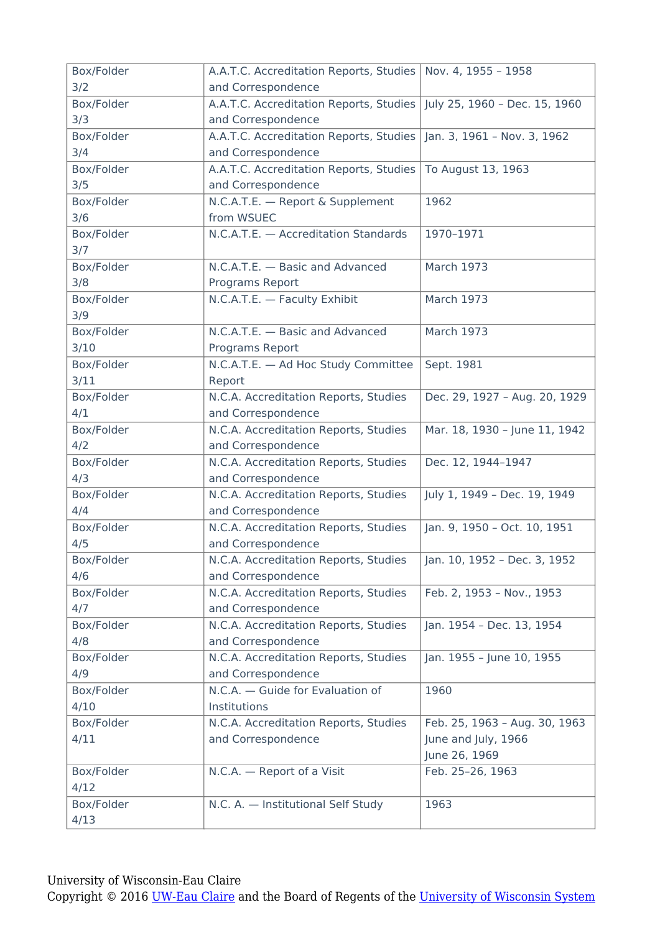| Box/Folder | A.A.T.C. Accreditation Reports, Studies | Nov. 4, 1955 - 1958           |
|------------|-----------------------------------------|-------------------------------|
| 3/2        | and Correspondence                      |                               |
| Box/Folder | A.A.T.C. Accreditation Reports, Studies | July 25, 1960 - Dec. 15, 1960 |
| 3/3        | and Correspondence                      |                               |
| Box/Folder | A.A.T.C. Accreditation Reports, Studies | Jan. 3, 1961 - Nov. 3, 1962   |
| 3/4        | and Correspondence                      |                               |
| Box/Folder | A.A.T.C. Accreditation Reports, Studies | To August 13, 1963            |
| 3/5        | and Correspondence                      |                               |
| Box/Folder | N.C.A.T.E. - Report & Supplement        | 1962                          |
| 3/6        | from WSUEC                              |                               |
| Box/Folder | N.C.A.T.E. - Accreditation Standards    | 1970-1971                     |
| 3/7        |                                         |                               |
| Box/Folder | N.C.A.T.E. - Basic and Advanced         | <b>March 1973</b>             |
| 3/8        | Programs Report                         |                               |
| Box/Folder | N.C.A.T.E. - Faculty Exhibit            | <b>March 1973</b>             |
| 3/9        |                                         |                               |
| Box/Folder | N.C.A.T.E. - Basic and Advanced         | <b>March 1973</b>             |
| 3/10       | Programs Report                         |                               |
| Box/Folder | N.C.A.T.E. - Ad Hoc Study Committee     | Sept. 1981                    |
| 3/11       | Report                                  |                               |
| Box/Folder | N.C.A. Accreditation Reports, Studies   | Dec. 29, 1927 - Aug. 20, 1929 |
| 4/1        | and Correspondence                      |                               |
| Box/Folder | N.C.A. Accreditation Reports, Studies   | Mar. 18, 1930 - June 11, 1942 |
| 4/2        | and Correspondence                      |                               |
| Box/Folder | N.C.A. Accreditation Reports, Studies   | Dec. 12, 1944-1947            |
| 4/3        | and Correspondence                      |                               |
| Box/Folder | N.C.A. Accreditation Reports, Studies   | July 1, 1949 - Dec. 19, 1949  |
| 4/4        | and Correspondence                      |                               |
| Box/Folder | N.C.A. Accreditation Reports, Studies   | Jan. 9, 1950 - Oct. 10, 1951  |
| 4/5        | and Correspondence                      |                               |
| Box/Folder | N.C.A. Accreditation Reports, Studies   | Jan. 10, 1952 - Dec. 3, 1952  |
| 4/6        | and Correspondence                      |                               |
| Box/Folder | N.C.A. Accreditation Reports, Studies   | Feb. 2, 1953 - Nov., 1953     |
| 4/7        | and Correspondence                      |                               |
| Box/Folder | N.C.A. Accreditation Reports, Studies   | Jan. 1954 - Dec. 13, 1954     |
| 4/8        | and Correspondence                      |                               |
| Box/Folder | N.C.A. Accreditation Reports, Studies   | Jan. 1955 - June 10, 1955     |
| 4/9        | and Correspondence                      |                               |
| Box/Folder | N.C.A. - Guide for Evaluation of        | 1960                          |
| 4/10       | Institutions                            |                               |
| Box/Folder | N.C.A. Accreditation Reports, Studies   | Feb. 25, 1963 - Aug. 30, 1963 |
| 4/11       | and Correspondence                      | June and July, 1966           |
|            |                                         | June 26, 1969                 |
| Box/Folder | N.C.A. - Report of a Visit              | Feb. 25-26, 1963              |
| 4/12       |                                         |                               |
| Box/Folder | N.C. A. - Institutional Self Study      | 1963                          |
| 4/13       |                                         |                               |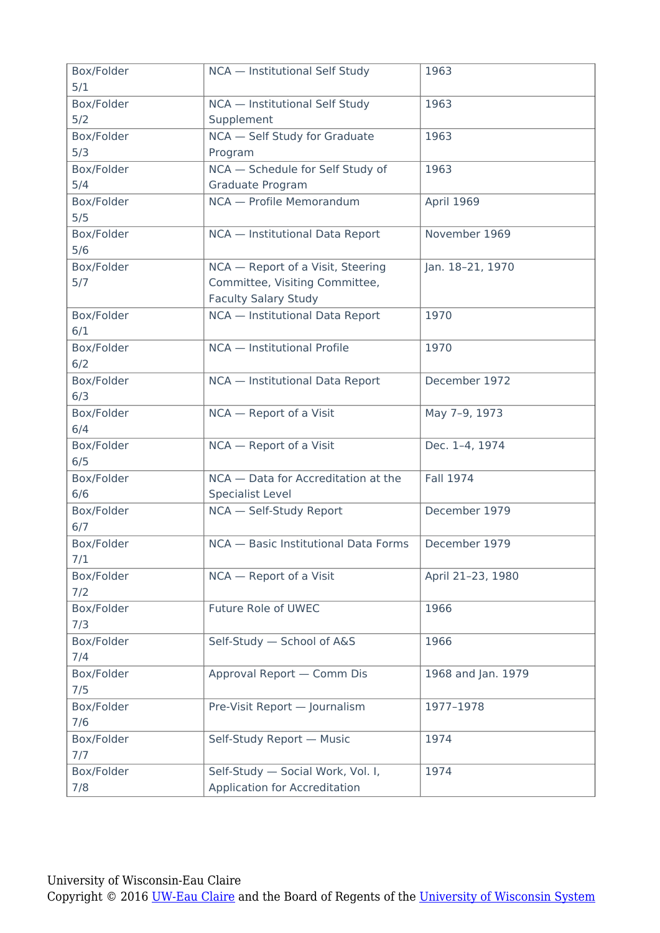| Box/Folder        | NCA - Institutional Self Study       | 1963               |
|-------------------|--------------------------------------|--------------------|
| 5/1               |                                      |                    |
| Box/Folder        | NCA - Institutional Self Study       | 1963               |
| 5/2               | Supplement                           |                    |
| Box/Folder        | NCA - Self Study for Graduate        | 1963               |
| 5/3               | Program                              |                    |
| Box/Folder        | NCA - Schedule for Self Study of     | 1963               |
| 5/4               | Graduate Program                     |                    |
| Box/Folder        | NCA - Profile Memorandum             | April 1969         |
| 5/5               |                                      |                    |
| Box/Folder<br>5/6 | NCA - Institutional Data Report      | November 1969      |
| Box/Folder        | NCA - Report of a Visit, Steering    | Jan. 18-21, 1970   |
| 5/7               | Committee, Visiting Committee,       |                    |
|                   | <b>Faculty Salary Study</b>          |                    |
| Box/Folder        | NCA - Institutional Data Report      | 1970               |
| 6/1               |                                      |                    |
| Box/Folder        | NCA - Institutional Profile          | 1970               |
| 6/2               |                                      |                    |
| Box/Folder        | NCA - Institutional Data Report      | December 1972      |
| 6/3               |                                      |                    |
| Box/Folder        | NCA - Report of a Visit              | May 7-9, 1973      |
| 6/4               |                                      |                    |
| Box/Folder        | NCA - Report of a Visit              | Dec. 1-4, 1974     |
| 6/5               |                                      |                    |
| Box/Folder        | NCA - Data for Accreditation at the  | <b>Fall 1974</b>   |
| 6/6               | <b>Specialist Level</b>              |                    |
| Box/Folder        | NCA - Self-Study Report              | December 1979      |
| 6/7               |                                      |                    |
| Box/Folder        | NCA - Basic Institutional Data Forms | December 1979      |
| 7/1               |                                      |                    |
| Box/Folder        | NCA - Report of a Visit              | April 21-23, 1980  |
| 7/2               |                                      |                    |
| Box/Folder        | Future Role of UWEC                  | 1966               |
| 7/3               |                                      |                    |
| Box/Folder        | Self-Study - School of A&S           | 1966               |
| 7/4               |                                      |                    |
| Box/Folder        | Approval Report - Comm Dis           | 1968 and Jan. 1979 |
| 7/5               |                                      |                    |
| Box/Folder        | Pre-Visit Report - Journalism        | 1977-1978          |
| 7/6               |                                      |                    |
| Box/Folder        | Self-Study Report - Music            | 1974               |
| 7/7               |                                      |                    |
| Box/Folder        | Self-Study - Social Work, Vol. I,    | 1974               |
| 7/8               | Application for Accreditation        |                    |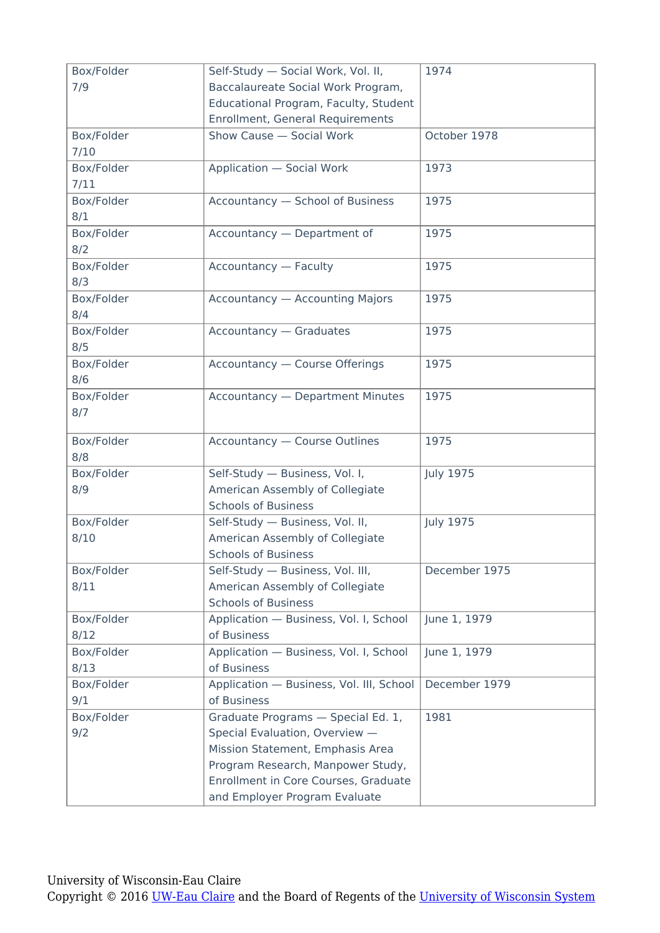| Box/Folder | Self-Study - Social Work, Vol. II,       | 1974             |
|------------|------------------------------------------|------------------|
| 7/9        | Baccalaureate Social Work Program,       |                  |
|            | Educational Program, Faculty, Student    |                  |
|            | <b>Enrollment, General Requirements</b>  |                  |
| Box/Folder | Show Cause - Social Work                 | October 1978     |
| 7/10       |                                          |                  |
| Box/Folder | <b>Application - Social Work</b>         | 1973             |
| 7/11       |                                          |                  |
| Box/Folder | Accountancy - School of Business         | 1975             |
| 8/1        |                                          |                  |
| Box/Folder | Accountancy - Department of              | 1975             |
| 8/2        |                                          |                  |
| Box/Folder | <b>Accountancy - Faculty</b>             | 1975             |
| 8/3        |                                          |                  |
| Box/Folder | <b>Accountancy - Accounting Majors</b>   | 1975             |
| 8/4        |                                          |                  |
| Box/Folder | <b>Accountancy - Graduates</b>           | 1975             |
| 8/5        |                                          |                  |
| Box/Folder | Accountancy - Course Offerings           | 1975             |
| 8/6        |                                          |                  |
| Box/Folder | <b>Accountancy - Department Minutes</b>  | 1975             |
| 8/7        |                                          |                  |
|            |                                          |                  |
| Box/Folder | <b>Accountancy - Course Outlines</b>     | 1975             |
| 8/8        |                                          |                  |
| Box/Folder | Self-Study - Business, Vol. I,           | <b>July 1975</b> |
| 8/9        | American Assembly of Collegiate          |                  |
|            | <b>Schools of Business</b>               |                  |
| Box/Folder | Self-Study - Business, Vol. II,          | <b>July 1975</b> |
| 8/10       | American Assembly of Collegiate          |                  |
|            | <b>Schools of Business</b>               |                  |
| Box/Folder | Self-Study - Business, Vol. III,         | December 1975    |
| 8/11       | American Assembly of Collegiate          |                  |
|            | <b>Schools of Business</b>               |                  |
| Box/Folder | Application - Business, Vol. I, School   | June 1, 1979     |
| 8/12       | of Business                              |                  |
|            |                                          |                  |
| Box/Folder | Application - Business, Vol. I, School   | June 1, 1979     |
| 8/13       | of Business                              |                  |
| Box/Folder | Application - Business, Vol. III, School | December 1979    |
| 9/1        | of Business                              |                  |
| Box/Folder | Graduate Programs - Special Ed. 1,       | 1981             |
| 9/2        | Special Evaluation, Overview -           |                  |
|            | Mission Statement, Emphasis Area         |                  |
|            | Program Research, Manpower Study,        |                  |
|            | Enrollment in Core Courses, Graduate     |                  |
|            | and Employer Program Evaluate            |                  |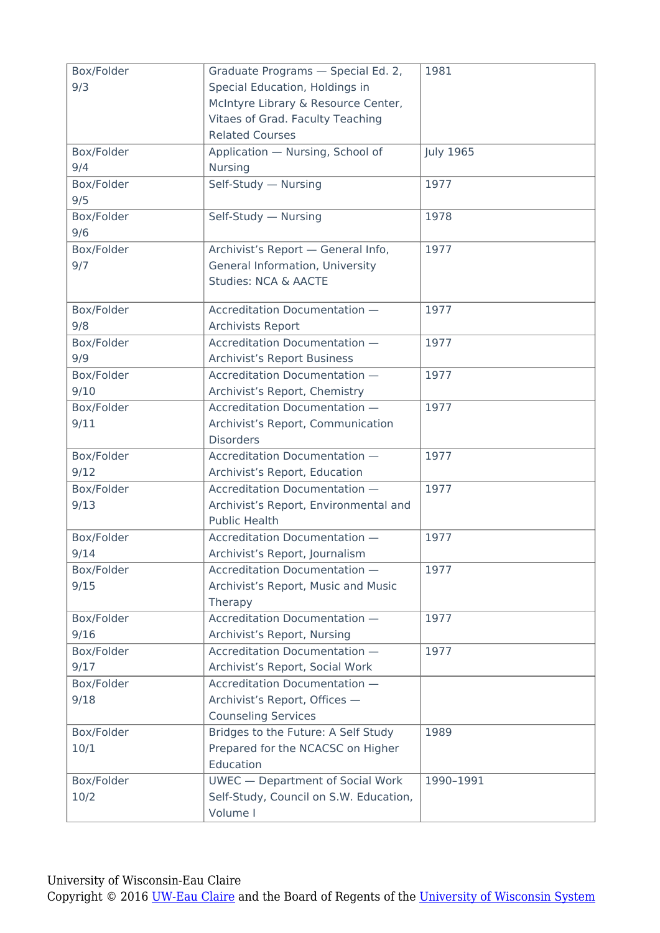| Box/Folder | Graduate Programs - Special Ed. 2,      | 1981             |
|------------|-----------------------------------------|------------------|
| 9/3        | Special Education, Holdings in          |                  |
|            | McIntyre Library & Resource Center,     |                  |
|            | Vitaes of Grad. Faculty Teaching        |                  |
|            | <b>Related Courses</b>                  |                  |
| Box/Folder | Application - Nursing, School of        | <b>July 1965</b> |
| 9/4        | Nursing                                 |                  |
| Box/Folder | Self-Study - Nursing                    | 1977             |
| 9/5        |                                         |                  |
| Box/Folder | Self-Study - Nursing                    | 1978             |
| 9/6        |                                         |                  |
| Box/Folder | Archivist's Report - General Info,      | 1977             |
| 9/7        | General Information, University         |                  |
|            | Studies: NCA & AACTE                    |                  |
| Box/Folder | Accreditation Documentation -           | 1977             |
| 9/8        | Archivists Report                       |                  |
| Box/Folder | Accreditation Documentation -           | 1977             |
| 9/9        | <b>Archivist's Report Business</b>      |                  |
| Box/Folder | Accreditation Documentation -           | 1977             |
| 9/10       | Archivist's Report, Chemistry           |                  |
| Box/Folder | Accreditation Documentation -           | 1977             |
| 9/11       | Archivist's Report, Communication       |                  |
|            | <b>Disorders</b>                        |                  |
| Box/Folder | Accreditation Documentation -           | 1977             |
| 9/12       | Archivist's Report, Education           |                  |
| Box/Folder | Accreditation Documentation -           | 1977             |
| 9/13       | Archivist's Report, Environmental and   |                  |
|            | <b>Public Health</b>                    |                  |
| Box/Folder | Accreditation Documentation -           | 1977             |
| 9/14       | Archivist's Report, Journalism          |                  |
| Box/Folder | Accreditation Documentation -           | 1977             |
| 9/15       | Archivist's Report, Music and Music     |                  |
|            | Therapy                                 |                  |
| Box/Folder | Accreditation Documentation -           | 1977             |
| 9/16       | Archivist's Report, Nursing             |                  |
| Box/Folder | Accreditation Documentation -           | 1977             |
| 9/17       | Archivist's Report, Social Work         |                  |
| Box/Folder | Accreditation Documentation -           |                  |
| 9/18       | Archivist's Report, Offices -           |                  |
|            | <b>Counseling Services</b>              |                  |
| Box/Folder | Bridges to the Future: A Self Study     | 1989             |
| 10/1       | Prepared for the NCACSC on Higher       |                  |
|            | Education                               |                  |
| Box/Folder | <b>UWEC</b> - Department of Social Work | 1990-1991        |
| 10/2       | Self-Study, Council on S.W. Education,  |                  |
|            | Volume I                                |                  |
|            |                                         |                  |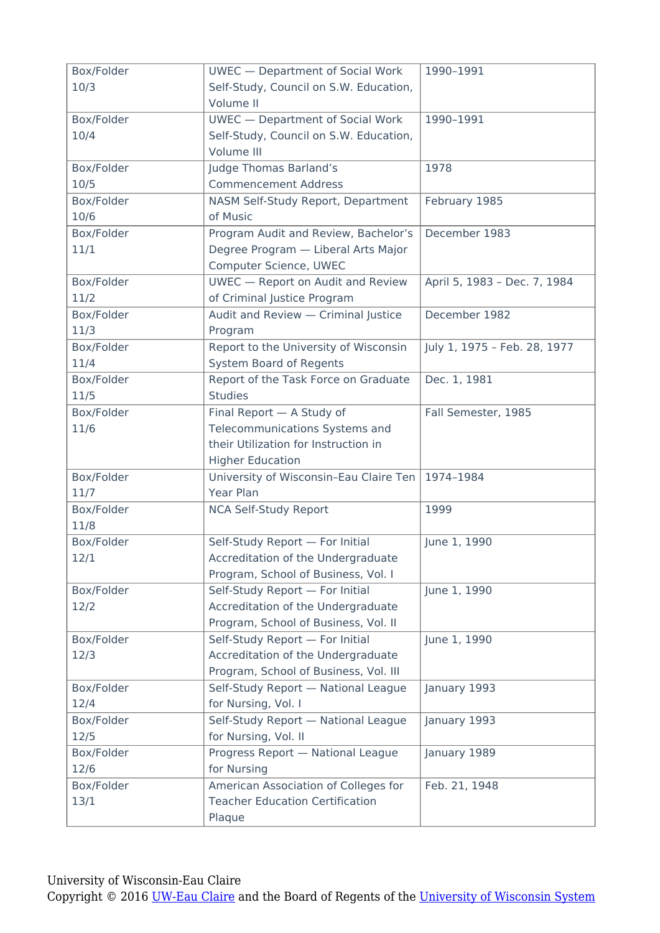| Box/Folder         | <b>UWEC</b> - Department of Social Work                                        | 1990-1991                    |
|--------------------|--------------------------------------------------------------------------------|------------------------------|
| 10/3               | Self-Study, Council on S.W. Education,                                         |                              |
|                    | Volume II                                                                      |                              |
| Box/Folder         | <b>UWEC</b> - Department of Social Work                                        | 1990-1991                    |
| 10/4               | Self-Study, Council on S.W. Education,                                         |                              |
|                    | Volume III                                                                     |                              |
| Box/Folder         | Judge Thomas Barland's                                                         | 1978                         |
| 10/5               | <b>Commencement Address</b>                                                    |                              |
| Box/Folder         | NASM Self-Study Report, Department                                             | February 1985                |
| 10/6               | of Music                                                                       |                              |
| Box/Folder         | Program Audit and Review, Bachelor's                                           | December 1983                |
| 11/1               | Degree Program - Liberal Arts Major                                            |                              |
| Box/Folder         | Computer Science, UWEC<br><b>UWEC</b> - Report on Audit and Review             | April 5, 1983 - Dec. 7, 1984 |
| 11/2               | of Criminal Justice Program                                                    |                              |
| Box/Folder         | Audit and Review - Criminal Justice                                            | December 1982                |
| 11/3               | Program                                                                        |                              |
| Box/Folder         | Report to the University of Wisconsin                                          | July 1, 1975 - Feb. 28, 1977 |
| 11/4               | <b>System Board of Regents</b>                                                 |                              |
| Box/Folder         | Report of the Task Force on Graduate                                           | Dec. 1, 1981                 |
| 11/5               | <b>Studies</b>                                                                 |                              |
| Box/Folder         | Final Report - A Study of                                                      | Fall Semester, 1985          |
| 11/6               | Telecommunications Systems and                                                 |                              |
|                    | their Utilization for Instruction in                                           |                              |
|                    | <b>Higher Education</b>                                                        |                              |
| Box/Folder         | University of Wisconsin-Eau Claire Ten                                         | 1974-1984                    |
| 11/7               | Year Plan                                                                      |                              |
| Box/Folder         | <b>NCA Self-Study Report</b>                                                   | 1999                         |
| 11/8               |                                                                                |                              |
| Box/Folder         | Self-Study Report - For Initial                                                | June 1, 1990                 |
| 12/1               | Accreditation of the Undergraduate                                             |                              |
|                    | Program, School of Business, Vol. I                                            |                              |
| Box/Folder         | Self-Study Report - For Initial                                                | June 1, 1990                 |
| 12/2               | Accreditation of the Undergraduate                                             |                              |
|                    | Program, School of Business, Vol. II                                           |                              |
| Box/Folder         | Self-Study Report - For Initial                                                | June 1, 1990                 |
| 12/3               | Accreditation of the Undergraduate                                             |                              |
|                    | Program, School of Business, Vol. III                                          |                              |
| Box/Folder         | Self-Study Report - National League                                            | January 1993                 |
| 12/4               | for Nursing, Vol. I                                                            |                              |
| Box/Folder         | Self-Study Report - National League                                            | January 1993                 |
| 12/5               | for Nursing, Vol. II                                                           |                              |
| Box/Folder<br>12/6 | Progress Report - National League<br>for Nursing                               | January 1989                 |
|                    |                                                                                |                              |
| Box/Folder<br>13/1 | American Association of Colleges for<br><b>Teacher Education Certification</b> | Feb. 21, 1948                |
|                    | Plaque                                                                         |                              |
|                    |                                                                                |                              |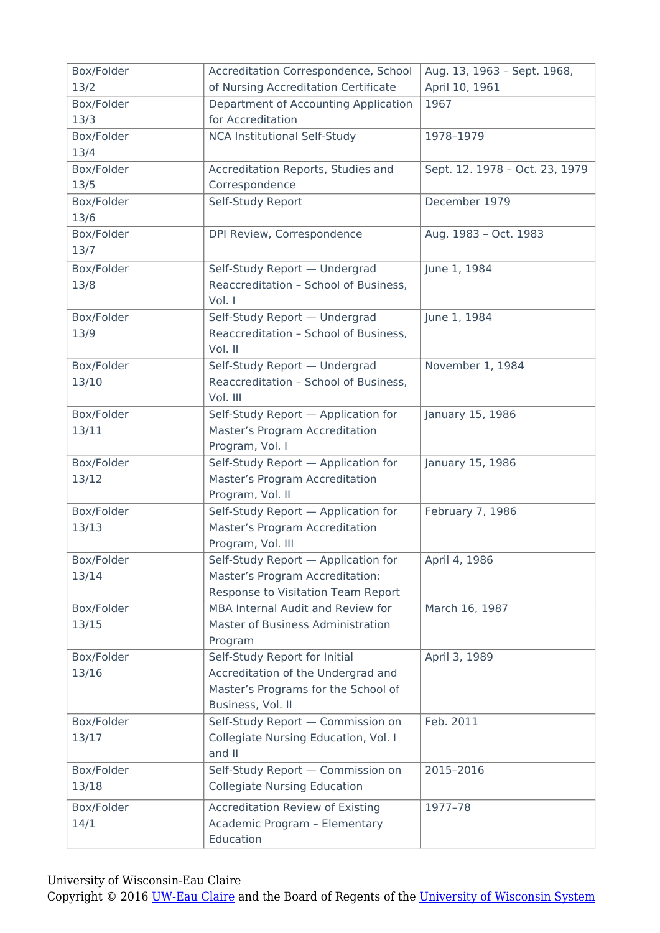| Box/Folder | Accreditation Correspondence, School    | Aug. 13, 1963 - Sept. 1968,    |
|------------|-----------------------------------------|--------------------------------|
| 13/2       | of Nursing Accreditation Certificate    | April 10, 1961                 |
| Box/Folder | Department of Accounting Application    | 1967                           |
| 13/3       | for Accreditation                       |                                |
| Box/Folder | <b>NCA Institutional Self-Study</b>     | 1978-1979                      |
| 13/4       |                                         |                                |
| Box/Folder | Accreditation Reports, Studies and      | Sept. 12. 1978 - Oct. 23, 1979 |
| 13/5       | Correspondence                          |                                |
| Box/Folder | Self-Study Report                       | December 1979                  |
| 13/6       |                                         |                                |
| Box/Folder | DPI Review, Correspondence              | Aug. 1983 - Oct. 1983          |
| 13/7       |                                         |                                |
| Box/Folder | Self-Study Report - Undergrad           | June 1, 1984                   |
| 13/8       | Reaccreditation - School of Business,   |                                |
|            | Vol. I                                  |                                |
| Box/Folder | Self-Study Report - Undergrad           | June 1, 1984                   |
| 13/9       | Reaccreditation - School of Business,   |                                |
|            | Vol. II                                 |                                |
| Box/Folder | Self-Study Report - Undergrad           | November 1, 1984               |
| 13/10      | Reaccreditation - School of Business,   |                                |
|            | Vol. III                                |                                |
| Box/Folder | Self-Study Report - Application for     | January 15, 1986               |
| 13/11      | Master's Program Accreditation          |                                |
|            | Program, Vol. I                         |                                |
| Box/Folder | Self-Study Report - Application for     | January 15, 1986               |
| 13/12      | Master's Program Accreditation          |                                |
|            | Program, Vol. II                        |                                |
| Box/Folder | Self-Study Report - Application for     | February 7, 1986               |
| 13/13      | Master's Program Accreditation          |                                |
|            | Program, Vol. III                       |                                |
| Box/Folder | Self-Study Report - Application for     | April 4, 1986                  |
| 13/14      | Master's Program Accreditation:         |                                |
|            | Response to Visitation Team Report      |                                |
| Box/Folder | MBA Internal Audit and Review for       | March 16, 1987                 |
| 13/15      | Master of Business Administration       |                                |
|            | Program                                 |                                |
| Box/Folder | Self-Study Report for Initial           | April 3, 1989                  |
| 13/16      | Accreditation of the Undergrad and      |                                |
|            | Master's Programs for the School of     |                                |
|            | Business, Vol. II                       |                                |
| Box/Folder | Self-Study Report - Commission on       | Feb. 2011                      |
| 13/17      | Collegiate Nursing Education, Vol. I    |                                |
|            | and II                                  |                                |
| Box/Folder | Self-Study Report - Commission on       | 2015-2016                      |
| 13/18      | <b>Collegiate Nursing Education</b>     |                                |
| Box/Folder | <b>Accreditation Review of Existing</b> | 1977-78                        |
| 14/1       | Academic Program - Elementary           |                                |
|            | Education                               |                                |

University of Wisconsin-Eau Claire

Copyright © 2016 [UW-Eau Claire](http://www.uwec.edu) and the Board of Regents of the [University of Wisconsin System](http://www.uwsa.edu/)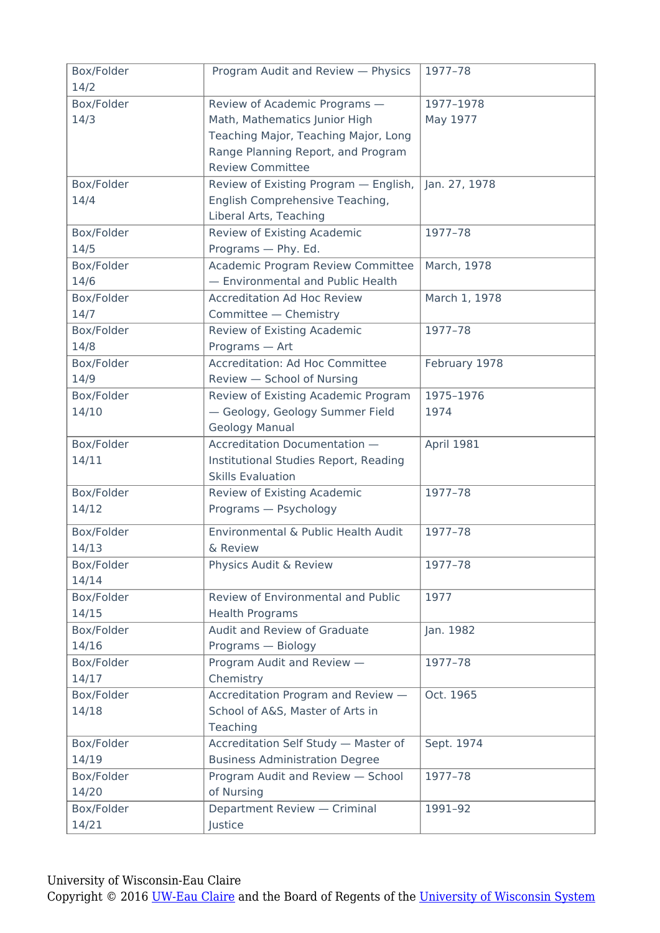| Box/Folder | Program Audit and Review - Physics    | 1977-78       |
|------------|---------------------------------------|---------------|
| 14/2       |                                       |               |
| Box/Folder | Review of Academic Programs -         | 1977-1978     |
| 14/3       | Math, Mathematics Junior High         | May 1977      |
|            | Teaching Major, Teaching Major, Long  |               |
|            | Range Planning Report, and Program    |               |
|            | <b>Review Committee</b>               |               |
| Box/Folder | Review of Existing Program - English, | Jan. 27, 1978 |
| 14/4       | English Comprehensive Teaching,       |               |
|            | Liberal Arts, Teaching                |               |
| Box/Folder | Review of Existing Academic           | 1977-78       |
| 14/5       | Programs - Phy. Ed.                   |               |
| Box/Folder | Academic Program Review Committee     | March, 1978   |
| 14/6       | - Environmental and Public Health     |               |
| Box/Folder | <b>Accreditation Ad Hoc Review</b>    | March 1, 1978 |
| 14/7       | Committee - Chemistry                 |               |
| Box/Folder | Review of Existing Academic           | 1977-78       |
| 14/8       | Programs - Art                        |               |
| Box/Folder | Accreditation: Ad Hoc Committee       | February 1978 |
| 14/9       | Review - School of Nursing            |               |
| Box/Folder | Review of Existing Academic Program   | 1975-1976     |
| 14/10      | - Geology, Geology Summer Field       | 1974          |
|            | Geology Manual                        |               |
| Box/Folder | Accreditation Documentation -         | April 1981    |
| 14/11      | Institutional Studies Report, Reading |               |
|            | <b>Skills Evaluation</b>              |               |
| Box/Folder | Review of Existing Academic           | 1977-78       |
| 14/12      | Programs - Psychology                 |               |
| Box/Folder | Environmental & Public Health Audit   | 1977-78       |
| 14/13      | & Review                              |               |
| Box/Folder | Physics Audit & Review                | 1977-78       |
| 14/14      |                                       |               |
| Box/Folder | Review of Environmental and Public    | 1977          |
| 14/15      | <b>Health Programs</b>                |               |
| Box/Folder | Audit and Review of Graduate          | Jan. 1982     |
| 14/16      | Programs - Biology                    |               |
| Box/Folder | Program Audit and Review -            | 1977-78       |
| 14/17      | Chemistry                             |               |
| Box/Folder | Accreditation Program and Review -    | Oct. 1965     |
| 14/18      | School of A&S, Master of Arts in      |               |
|            | Teaching                              |               |
| Box/Folder | Accreditation Self Study - Master of  | Sept. 1974    |
| 14/19      | <b>Business Administration Degree</b> |               |
| Box/Folder | Program Audit and Review - School     | 1977-78       |
| 14/20      | of Nursing                            |               |
| Box/Folder | Department Review - Criminal          | 1991-92       |
| 14/21      | Justice                               |               |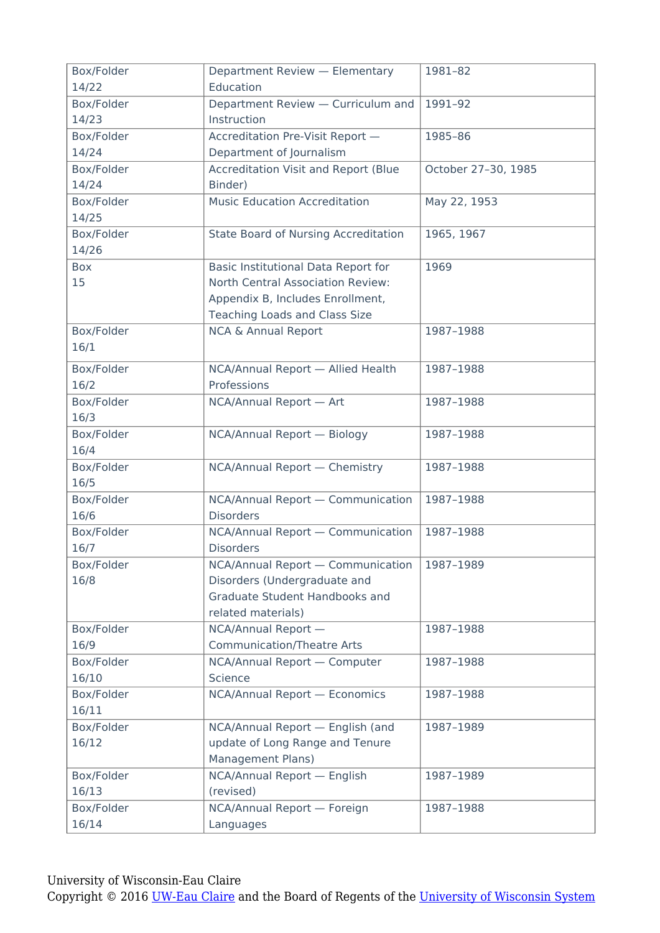| Box/Folder | Department Review - Elementary              | 1981-82             |
|------------|---------------------------------------------|---------------------|
| 14/22      | Education                                   |                     |
| Box/Folder | Department Review - Curriculum and          | 1991-92             |
| 14/23      | Instruction                                 |                     |
| Box/Folder | Accreditation Pre-Visit Report -            | 1985-86             |
| 14/24      | Department of Journalism                    |                     |
| Box/Folder | <b>Accreditation Visit and Report (Blue</b> | October 27-30, 1985 |
| 14/24      | Binder)                                     |                     |
| Box/Folder | <b>Music Education Accreditation</b>        | May 22, 1953        |
| 14/25      |                                             |                     |
| Box/Folder | <b>State Board of Nursing Accreditation</b> | 1965, 1967          |
| 14/26      |                                             |                     |
| Box        | Basic Institutional Data Report for         | 1969                |
| 15         | North Central Association Review:           |                     |
|            | Appendix B, Includes Enrollment,            |                     |
|            | <b>Teaching Loads and Class Size</b>        |                     |
| Box/Folder | <b>NCA &amp; Annual Report</b>              | 1987-1988           |
| 16/1       |                                             |                     |
| Box/Folder | NCA/Annual Report - Allied Health           | 1987-1988           |
| 16/2       | Professions                                 |                     |
| Box/Folder | NCA/Annual Report - Art                     | 1987-1988           |
| 16/3       |                                             |                     |
| Box/Folder | NCA/Annual Report - Biology                 | 1987-1988           |
| 16/4       |                                             |                     |
| Box/Folder | NCA/Annual Report - Chemistry               | 1987-1988           |
| 16/5       |                                             |                     |
| Box/Folder | NCA/Annual Report - Communication           | 1987-1988           |
| 16/6       | <b>Disorders</b>                            |                     |
| Box/Folder | NCA/Annual Report - Communication           | 1987-1988           |
| 16/7       | <b>Disorders</b>                            |                     |
| Box/Folder | NCA/Annual Report - Communication           | 1987-1989           |
| 16/8       | Disorders (Undergraduate and                |                     |
|            | Graduate Student Handbooks and              |                     |
|            | related materials)                          |                     |
| Box/Folder | NCA/Annual Report -                         | 1987-1988           |
| 16/9       | <b>Communication/Theatre Arts</b>           |                     |
| Box/Folder | NCA/Annual Report - Computer                | 1987-1988           |
| 16/10      | Science                                     |                     |
| Box/Folder | NCA/Annual Report - Economics               | 1987-1988           |
| 16/11      |                                             |                     |
| Box/Folder | NCA/Annual Report - English (and            | 1987-1989           |
| 16/12      | update of Long Range and Tenure             |                     |
|            | Management Plans)                           |                     |
| Box/Folder | NCA/Annual Report - English                 | 1987-1989           |
| 16/13      | (revised)                                   |                     |
| Box/Folder | NCA/Annual Report - Foreign                 | 1987-1988           |
| 16/14      | Languages                                   |                     |